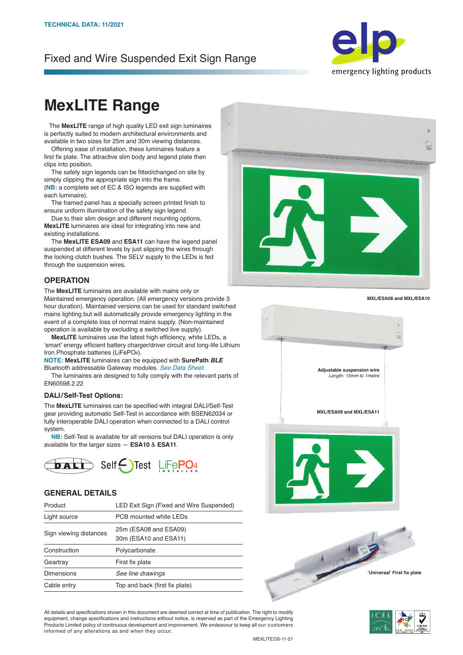# Fixed and Wire Suspended Exit Sign Range



# **MexLITE Range**

The MexLITE range of high quality LED exit sign luminaires is perfectly suited to modern architectural environments and available in two sizes for 25m and 30m viewing distances.

 Offering ease of installation, these luminaires feature a first fix plate. The attractive slim body and legend plate then clips into position.

 The safety sign legends can be fitted/changed on site by simply clipping the appropriate sign into the frame. (**NB:** a complete set of EC & ISO legends are supplied with

each luminaire). The framed panel has a specially screen printed finish to ensure uniform illumination of the safety sign legend.

 Due to their slim design and different mounting options, **MexLITE** luminaires are ideal for integrating into new and existing installations.

 The **MexLITE ESA09** and **ESA11** can have the legend panel suspended at different levels by just slipping the wires through the locking clutch bushes. The SELV supply to the LEDs is fed through the suspension wires.

#### **OPERATION**

The **MexLITE** luminaires are available with mains only or Maintained emergency operation. (All emergency versions provide 3 hour duration). Maintained versions can be used for standard switched mains lighting but will automatically provide emergency lighting in the event of a complete loss of normal mains supply. (Non-maintained operation is available by excluding a switched live supply).

 **MexLITE** luminaires use the latest high efficiency, white LEDs, a 'smart' energy efficient battery charger/driver circuit and long-life Lithium Iron Phosphate batteries (LiFePO4).

**NOTE: MexLITE** luminaires can be equipped with **SurePath** *BLE* Bluetooth addressable Gateway modules. *See Data Sheet.*

 The luminaires are designed to fully comply with the relevant parts of EN60598.2.22

#### **DALI/Self-Test Options:**

The **MexLITE** luminaires can be specified with integral DALI/Self-Test gear providing automatic Self-Test in accordance with BSEN62034 or fully interoperable DALI operation when connected to a DALI control system.

 **NB:** Self-Test is available for all versions but DALI operation is only available for the larger sizes — **ESA10** & **ESA11**.



#### **GENERAL DETAILS**

| Product                | LED Exit Sign (Fixed and Wire Suspended)       |
|------------------------|------------------------------------------------|
| Light source           | PCB mounted white LEDs                         |
| Sign viewing distances | 25m (ESA08 and ESA09)<br>30m (ESA10 and ESA11) |
| Construction           | Polycarbonate                                  |
| Geartray               | First fix plate                                |
| <b>Dimensions</b>      | See line drawings                              |
| Cable entry            | Top and back (first fix plate)                 |



**MXL/ESA08 and MXL/ESA10**



All details and specifications shown in this document are deemed correct at time of publication. The right to modify equipment, change specifications and instructions without notice, is reserved as part of the Emergency Lighting Products Limited policy of continuous development and improvement. We endeavour to keep all our customers informed of any alterations as and when they occur.

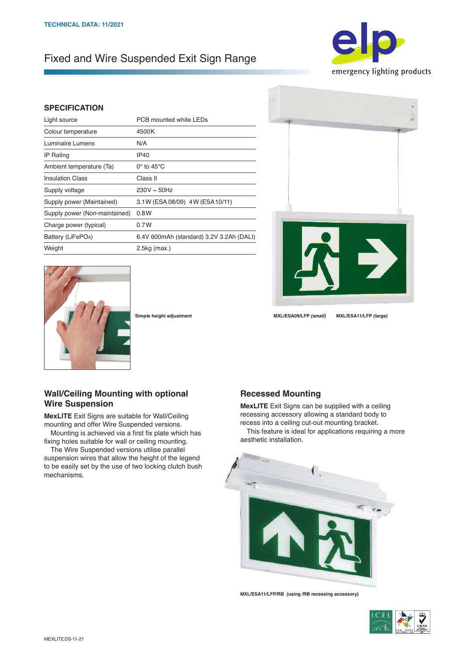# Fixed and Wire Suspended Exit Sign Range



### **SPECIFICATION**

| Light source                   | PCB mounted white LEDs                   |
|--------------------------------|------------------------------------------|
| Colour temperature             | 4500K                                    |
| Luminaire Lumens               | N/A                                      |
| <b>IP Rating</b>               | IP40                                     |
| Ambient temperature (Ta)       | $0^\circ$ to 45 $^\circ$ C               |
| <b>Insulation Class</b>        | Class II                                 |
| Supply voltage                 | $230V \sim 50Hz$                         |
| Supply power (Maintained)      | 3.1W (ESA 08/09) 4W (ESA 10/11)          |
| Supply power (Non-maintained)  | 0.8W                                     |
| Charge power (typical)         | 0.7W                                     |
| Battery (LiFePO <sub>4</sub> ) | 6.4V 600mAh (standard) 3.2V 3.2Ah (DALI) |
| Weight                         | $2.5kg$ (max.)                           |
|                                |                                          |





**Simple height adjustment MXL/ESA09/LFP** *(small)* **MXL/ESA11/LFP** *(large)*

## **Wall/Ceiling Mounting with optional Wire Suspension**

**MexLITE** Exit Signs are suitable for Wall/Ceiling mounting and offer Wire Suspended versions.

 Mounting is achieved via a first fix plate which has fixing holes suitable for wall or ceiling mounting.

 The Wire Suspended versions utilise parallel suspension wires that allow the height of the legend to be easily set by the use of two locking clutch bush mechanisms.

### **Recessed Mounting**

**MexLITE** Exit Signs can be supplied with a ceiling recessing accessory allowing a standard body to recess into a ceiling cut-out mounting bracket. This feature is ideal for applications requiring a more aesthetic installation.



**MXL/ESA11/LFP/RB (using /RB recessing accessory)**